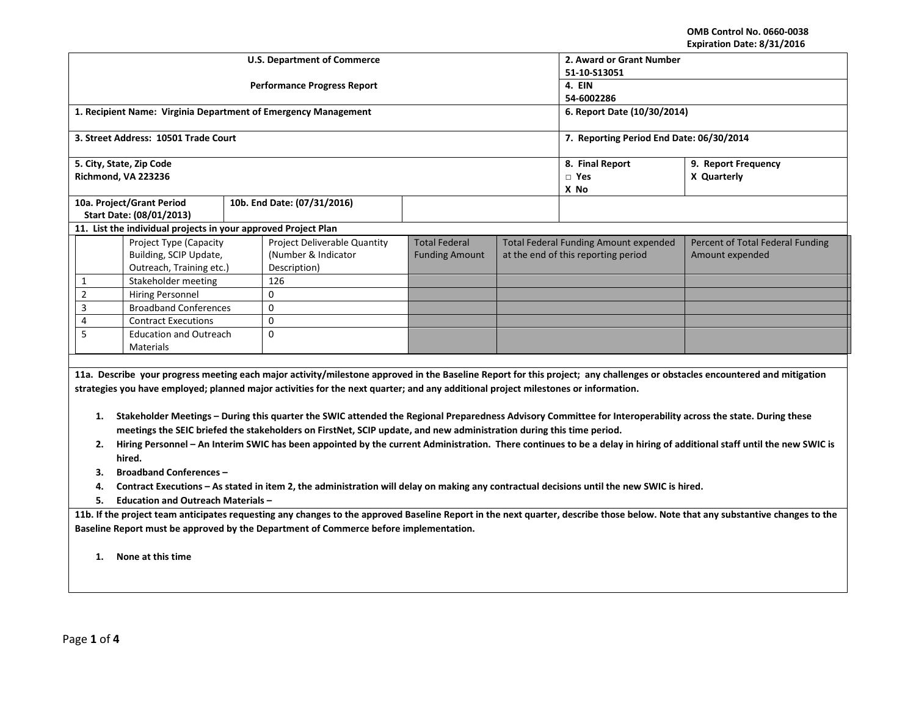**OMB Control No. 0660-0038 Expiration Date: 8/31/2016**

|   |                |                                                                |                                              | <b>U.S. Department of Commerce</b>                                                                                                                               | 2. Award or Grant Number                 |  |                                     |                                                                                                                                                                                 |  |  |  |
|---|----------------|----------------------------------------------------------------|----------------------------------------------|------------------------------------------------------------------------------------------------------------------------------------------------------------------|------------------------------------------|--|-------------------------------------|---------------------------------------------------------------------------------------------------------------------------------------------------------------------------------|--|--|--|
|   |                |                                                                |                                              | <b>Performance Progress Report</b>                                                                                                                               | 51-10-S13051<br>4. EIN                   |  |                                     |                                                                                                                                                                                 |  |  |  |
|   |                |                                                                |                                              |                                                                                                                                                                  | 54-6002286                               |  |                                     |                                                                                                                                                                                 |  |  |  |
|   |                |                                                                |                                              | 1. Recipient Name: Virginia Department of Emergency Management                                                                                                   | 6. Report Date (10/30/2014)              |  |                                     |                                                                                                                                                                                 |  |  |  |
|   |                | 3. Street Address: 10501 Trade Court                           |                                              |                                                                                                                                                                  | 7. Reporting Period End Date: 06/30/2014 |  |                                     |                                                                                                                                                                                 |  |  |  |
|   |                |                                                                |                                              |                                                                                                                                                                  |                                          |  |                                     |                                                                                                                                                                                 |  |  |  |
|   |                | 5. City, State, Zip Code                                       |                                              |                                                                                                                                                                  |                                          |  | 8. Final Report                     | 9. Report Frequency                                                                                                                                                             |  |  |  |
|   |                | Richmond, VA 223236                                            |                                              |                                                                                                                                                                  |                                          |  | $\Box$ Yes                          | X Quarterly                                                                                                                                                                     |  |  |  |
|   |                | 10a. Project/Grant Period                                      |                                              | 10b. End Date: (07/31/2016)                                                                                                                                      |                                          |  | X No                                |                                                                                                                                                                                 |  |  |  |
|   |                | Start Date: (08/01/2013)                                       |                                              |                                                                                                                                                                  |                                          |  |                                     |                                                                                                                                                                                 |  |  |  |
|   |                | 11. List the individual projects in your approved Project Plan |                                              |                                                                                                                                                                  |                                          |  |                                     |                                                                                                                                                                                 |  |  |  |
|   |                | <b>Project Type (Capacity</b>                                  | <b>Total Federal Funding Amount expended</b> | Percent of Total Federal Funding                                                                                                                                 |                                          |  |                                     |                                                                                                                                                                                 |  |  |  |
|   |                | Building, SCIP Update,                                         |                                              | (Number & Indicator                                                                                                                                              | <b>Funding Amount</b>                    |  | at the end of this reporting period | Amount expended                                                                                                                                                                 |  |  |  |
|   |                | Outreach, Training etc.)                                       |                                              | Description)                                                                                                                                                     |                                          |  |                                     |                                                                                                                                                                                 |  |  |  |
|   | $\mathbf{1}$   | Stakeholder meeting                                            |                                              | 126                                                                                                                                                              |                                          |  |                                     |                                                                                                                                                                                 |  |  |  |
|   | $\overline{2}$ | <b>Hiring Personnel</b>                                        |                                              | $\Omega$                                                                                                                                                         |                                          |  |                                     |                                                                                                                                                                                 |  |  |  |
|   | 3              | <b>Broadband Conferences</b>                                   |                                              | $\mathbf 0$                                                                                                                                                      |                                          |  |                                     |                                                                                                                                                                                 |  |  |  |
|   | 4              | <b>Contract Executions</b>                                     |                                              | $\Omega$                                                                                                                                                         |                                          |  |                                     |                                                                                                                                                                                 |  |  |  |
| 5 |                | <b>Education and Outreach</b>                                  |                                              | 0                                                                                                                                                                |                                          |  |                                     |                                                                                                                                                                                 |  |  |  |
|   |                | Materials                                                      |                                              |                                                                                                                                                                  |                                          |  |                                     |                                                                                                                                                                                 |  |  |  |
|   |                |                                                                |                                              |                                                                                                                                                                  |                                          |  |                                     |                                                                                                                                                                                 |  |  |  |
|   |                |                                                                |                                              |                                                                                                                                                                  |                                          |  |                                     | 11a. Describe your progress meeting each major activity/milestone approved in the Baseline Report for this project; any challenges or obstacles encountered and mitigation      |  |  |  |
|   |                |                                                                |                                              | strategies you have employed; planned major activities for the next quarter; and any additional project milestones or information.                               |                                          |  |                                     |                                                                                                                                                                                 |  |  |  |
|   |                |                                                                |                                              | 1. Stakeholder Meetings - During this quarter the SWIC attended the Regional Preparedness Advisory Committee for Interoperability across the state. During these |                                          |  |                                     |                                                                                                                                                                                 |  |  |  |
|   |                |                                                                |                                              | meetings the SEIC briefed the stakeholders on FirstNet, SCIP update, and new administration during this time period.                                             |                                          |  |                                     |                                                                                                                                                                                 |  |  |  |
|   | 2.             |                                                                |                                              |                                                                                                                                                                  |                                          |  |                                     | Hiring Personnel - An Interim SWIC has been appointed by the current Administration. There continues to be a delay in hiring of additional staff until the new SWIC is          |  |  |  |
|   |                | hired.                                                         |                                              |                                                                                                                                                                  |                                          |  |                                     |                                                                                                                                                                                 |  |  |  |
|   | з.             | <b>Broadband Conferences -</b>                                 |                                              |                                                                                                                                                                  |                                          |  |                                     |                                                                                                                                                                                 |  |  |  |
|   |                |                                                                |                                              | Contract Executions - As stated in item 2, the administration will delay on making any contractual decisions until the new SWIC is hired.                        |                                          |  |                                     |                                                                                                                                                                                 |  |  |  |
|   | 4.<br>5.       | <b>Education and Outreach Materials -</b>                      |                                              |                                                                                                                                                                  |                                          |  |                                     |                                                                                                                                                                                 |  |  |  |
|   |                |                                                                |                                              |                                                                                                                                                                  |                                          |  |                                     |                                                                                                                                                                                 |  |  |  |
|   |                |                                                                |                                              | Baseline Report must be approved by the Department of Commerce before implementation.                                                                            |                                          |  |                                     | 11b. If the project team anticipates requesting any changes to the approved Baseline Report in the next quarter, describe those below. Note that any substantive changes to the |  |  |  |
|   |                |                                                                |                                              |                                                                                                                                                                  |                                          |  |                                     |                                                                                                                                                                                 |  |  |  |
|   | 1.             | None at this time                                              |                                              |                                                                                                                                                                  |                                          |  |                                     |                                                                                                                                                                                 |  |  |  |
|   |                |                                                                |                                              |                                                                                                                                                                  |                                          |  |                                     |                                                                                                                                                                                 |  |  |  |
|   |                |                                                                |                                              |                                                                                                                                                                  |                                          |  |                                     |                                                                                                                                                                                 |  |  |  |
|   |                |                                                                |                                              |                                                                                                                                                                  |                                          |  |                                     |                                                                                                                                                                                 |  |  |  |
|   |                |                                                                |                                              |                                                                                                                                                                  |                                          |  |                                     |                                                                                                                                                                                 |  |  |  |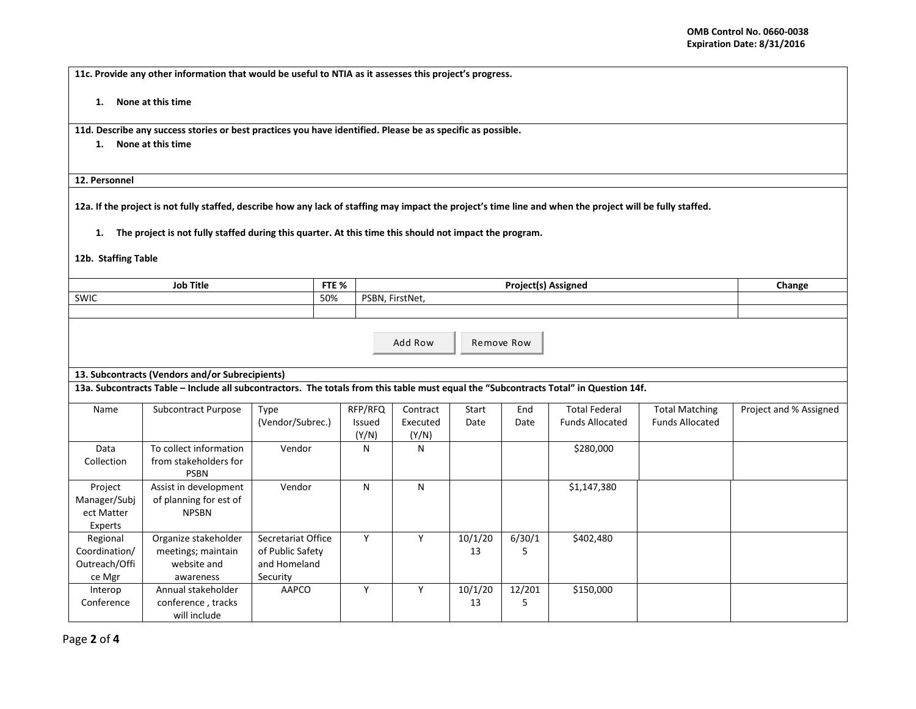**11c. Provide any other information that would be useful to NTIA as it assesses this project's progress.** 

**1. None at this time**

**11d. Describe any success stories or best practices you have identified. Please be as specific as possible.**

**1. None at this time**

**12. Personnel** 

**12a. If the project is not fully staffed, describe how any lack of staffing may impact the project's time line and when the project will be fully staffed.**

**1. The project is not fully staffed during this quarter. At this time this should not impact the program.**

**12b. Staffing Table**

| <b>Job Title</b> | ETE <sub>0</sub> /<br>7 I C 70 | Proiect(s<br>Assigned | <b>Change</b> |
|------------------|--------------------------------|-----------------------|---------------|
| SWIC             | 50%                            | FirstNet<br>PSBN      |               |
|                  |                                |                       |               |

| Add Row | Remove Row |
|---------|------------|

## **13. Subcontracts (Vendors and/or Subrecipients)**

**13a. Subcontracts Table – Include all subcontractors. The totals from this table must equal the "Subcontracts Total" in Question 14f.**

| Subcontract Purpose<br>Name |                        | Type               | RFP/RFQ | Contract | Start   | End    | <b>Total Federal</b>   | <b>Total Matching</b>  | Project and % Assigned |
|-----------------------------|------------------------|--------------------|---------|----------|---------|--------|------------------------|------------------------|------------------------|
|                             |                        | (Vendor/Subrec.)   | Issued  | Executed | Date    | Date   | <b>Funds Allocated</b> | <b>Funds Allocated</b> |                        |
|                             |                        |                    | (Y/N)   | (Y/N)    |         |        |                        |                        |                        |
| Data                        | To collect information | Vendor             | N       | N        |         |        | \$280,000              |                        |                        |
| Collection                  | from stakeholders for  |                    |         |          |         |        |                        |                        |                        |
|                             | <b>PSBN</b>            |                    |         |          |         |        |                        |                        |                        |
| Project                     | Assist in development  | Vendor             | N       | N        |         |        | \$1,147,380            |                        |                        |
| Manager/Subj                | of planning for est of |                    |         |          |         |        |                        |                        |                        |
| ect Matter                  | <b>NPSBN</b>           |                    |         |          |         |        |                        |                        |                        |
| Experts                     |                        |                    |         |          |         |        |                        |                        |                        |
| Regional                    | Organize stakeholder   | Secretariat Office | Y       |          | 10/1/20 | 6/30/1 | \$402,480              |                        |                        |
| Coordination/               | meetings; maintain     | of Public Safety   |         |          | 13      |        |                        |                        |                        |
| Outreach/Offi               | website and            | and Homeland       |         |          |         |        |                        |                        |                        |
| ce Mgr                      | awareness              | Security           |         |          |         |        |                        |                        |                        |
| Interop                     | Annual stakeholder     | AAPCO              | N       | v        | 10/1/20 | 12/201 | \$150,000              |                        |                        |
| Conference                  | conference, tracks     |                    |         |          | 13      |        |                        |                        |                        |
|                             | will include           |                    |         |          |         |        |                        |                        |                        |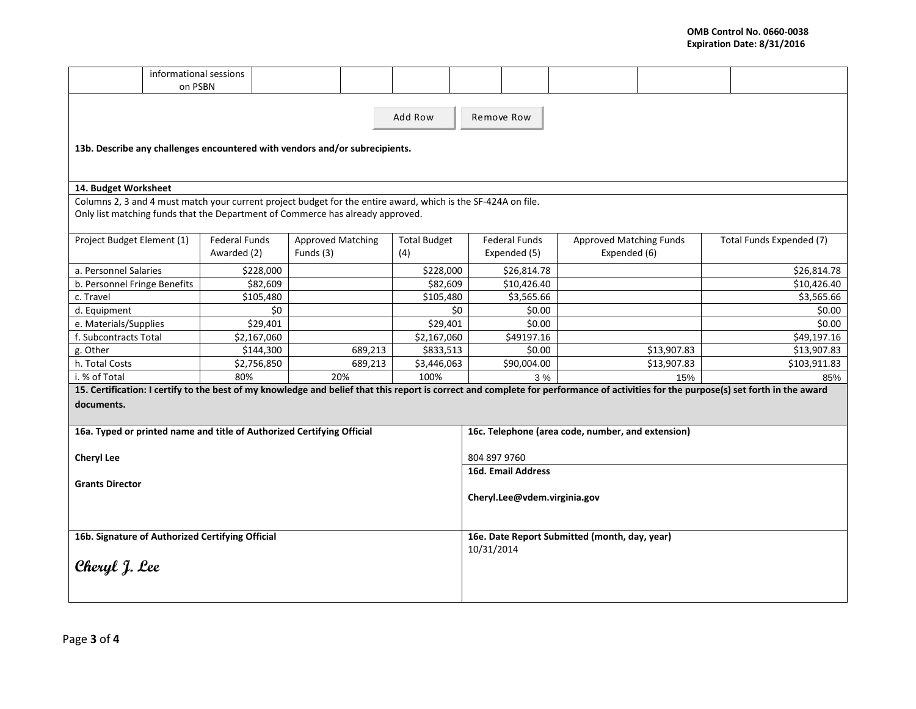|                                                                                                                                                                                                    | informational sessions<br>on PSBN                                                                                                                                                               |                      |             |                          |         |                     |  |                                                             |        |                                |             |  |                          |
|----------------------------------------------------------------------------------------------------------------------------------------------------------------------------------------------------|-------------------------------------------------------------------------------------------------------------------------------------------------------------------------------------------------|----------------------|-------------|--------------------------|---------|---------------------|--|-------------------------------------------------------------|--------|--------------------------------|-------------|--|--------------------------|
|                                                                                                                                                                                                    |                                                                                                                                                                                                 |                      |             |                          |         | Add Row             |  | Remove Row                                                  |        |                                |             |  |                          |
| 13b. Describe any challenges encountered with vendors and/or subrecipients.                                                                                                                        |                                                                                                                                                                                                 |                      |             |                          |         |                     |  |                                                             |        |                                |             |  |                          |
|                                                                                                                                                                                                    | 14. Budget Worksheet                                                                                                                                                                            |                      |             |                          |         |                     |  |                                                             |        |                                |             |  |                          |
|                                                                                                                                                                                                    |                                                                                                                                                                                                 |                      |             |                          |         |                     |  |                                                             |        |                                |             |  |                          |
|                                                                                                                                                                                                    | Columns 2, 3 and 4 must match your current project budget for the entire award, which is the SF-424A on file.<br>Only list matching funds that the Department of Commerce has already approved. |                      |             |                          |         |                     |  |                                                             |        |                                |             |  |                          |
| Project Budget Element (1)                                                                                                                                                                         |                                                                                                                                                                                                 | <b>Federal Funds</b> |             | <b>Approved Matching</b> |         | <b>Total Budget</b> |  | <b>Federal Funds</b>                                        |        | <b>Approved Matching Funds</b> |             |  | Total Funds Expended (7) |
|                                                                                                                                                                                                    |                                                                                                                                                                                                 | Awarded (2)          |             | Funds (3)                |         | (4)                 |  | Expended (5)                                                |        | Expended (6)                   |             |  |                          |
| a. Personnel Salaries                                                                                                                                                                              |                                                                                                                                                                                                 |                      | \$228,000   |                          |         | \$228,000           |  | \$26,814.78                                                 |        |                                |             |  | \$26,814.78              |
| b. Personnel Fringe Benefits                                                                                                                                                                       |                                                                                                                                                                                                 |                      | \$82,609    |                          |         | \$82,609            |  | \$10,426.40                                                 |        |                                |             |  | \$10,426.40              |
| c. Travel                                                                                                                                                                                          |                                                                                                                                                                                                 |                      | \$105,480   |                          |         | \$105,480           |  | \$3,565.66                                                  |        |                                |             |  | \$3,565.66               |
| d. Equipment                                                                                                                                                                                       | \$0                                                                                                                                                                                             |                      | \$0         | \$0.00                   |         |                     |  |                                                             | \$0.00 |                                |             |  |                          |
| e. Materials/Supplies                                                                                                                                                                              |                                                                                                                                                                                                 |                      | \$29,401    |                          |         | \$29,401            |  | \$0.00                                                      |        |                                |             |  | \$0.00                   |
| f. Subcontracts Total                                                                                                                                                                              |                                                                                                                                                                                                 |                      | \$2,167,060 |                          |         | \$2,167,060         |  | \$49197.16                                                  |        |                                |             |  | \$49,197.16              |
| g. Other                                                                                                                                                                                           |                                                                                                                                                                                                 |                      | \$144,300   |                          | 689,213 | \$833,513           |  | \$0.00                                                      |        |                                | \$13,907.83 |  | \$13,907.83              |
| h. Total Costs                                                                                                                                                                                     |                                                                                                                                                                                                 |                      | \$2,756,850 |                          | 689,213 | \$3,446,063         |  | \$90,004.00                                                 |        |                                | \$13,907.83 |  | \$103,911.83             |
| 100%<br>i. % of Total<br>80%<br>20%                                                                                                                                                                |                                                                                                                                                                                                 |                      |             |                          |         |                     |  |                                                             | 3%     |                                | 15%         |  | 85%                      |
| 15. Certification: I certify to the best of my knowledge and belief that this report is correct and complete for performance of activities for the purpose(s) set forth in the award<br>documents. |                                                                                                                                                                                                 |                      |             |                          |         |                     |  |                                                             |        |                                |             |  |                          |
| 16a. Typed or printed name and title of Authorized Certifying Official                                                                                                                             |                                                                                                                                                                                                 |                      |             |                          |         |                     |  | 16c. Telephone (area code, number, and extension)           |        |                                |             |  |                          |
| <b>Cheryl Lee</b>                                                                                                                                                                                  |                                                                                                                                                                                                 |                      |             |                          |         |                     |  | 804 897 9760                                                |        |                                |             |  |                          |
| <b>Grants Director</b>                                                                                                                                                                             |                                                                                                                                                                                                 |                      |             |                          |         |                     |  | 16d. Email Address<br>Cheryl.Lee@vdem.virginia.gov          |        |                                |             |  |                          |
| 16b. Signature of Authorized Certifying Official<br>Cheryl J. Lee                                                                                                                                  |                                                                                                                                                                                                 |                      |             |                          |         |                     |  | 16e. Date Report Submitted (month, day, year)<br>10/31/2014 |        |                                |             |  |                          |
|                                                                                                                                                                                                    |                                                                                                                                                                                                 |                      |             |                          |         |                     |  |                                                             |        |                                |             |  |                          |